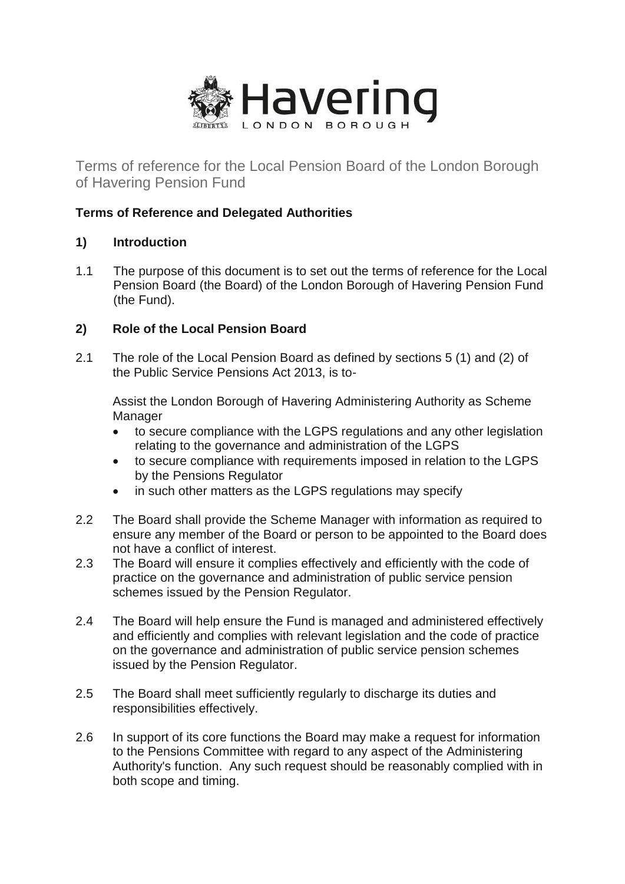

Terms of reference for the Local Pension Board of the London Borough of Havering Pension Fund

# **Terms of Reference and Delegated Authorities**

# **1) Introduction**

1.1 The purpose of this document is to set out the terms of reference for the Local Pension Board (the Board) of the London Borough of Havering Pension Fund (the Fund).

# **2) Role of the Local Pension Board**

2.1 The role of the Local Pension Board as defined by sections 5 (1) and (2) of the Public Service Pensions Act 2013, is to-

Assist the London Borough of Havering Administering Authority as Scheme Manager

- to secure compliance with the LGPS regulations and any other legislation relating to the governance and administration of the LGPS
- to secure compliance with requirements imposed in relation to the LGPS by the Pensions Regulator
- in such other matters as the LGPS regulations may specify
- 2.2 The Board shall provide the Scheme Manager with information as required to ensure any member of the Board or person to be appointed to the Board does not have a conflict of interest.
- 2.3 The Board will ensure it complies effectively and efficiently with the code of practice on the governance and administration of public service pension schemes issued by the Pension Regulator.
- 2.4 The Board will help ensure the Fund is managed and administered effectively and efficiently and complies with relevant legislation and the code of practice on the governance and administration of public service pension schemes issued by the Pension Regulator.
- 2.5 The Board shall meet sufficiently regularly to discharge its duties and responsibilities effectively.
- 2.6 In support of its core functions the Board may make a request for information to the Pensions Committee with regard to any aspect of the Administering Authority's function. Any such request should be reasonably complied with in both scope and timing.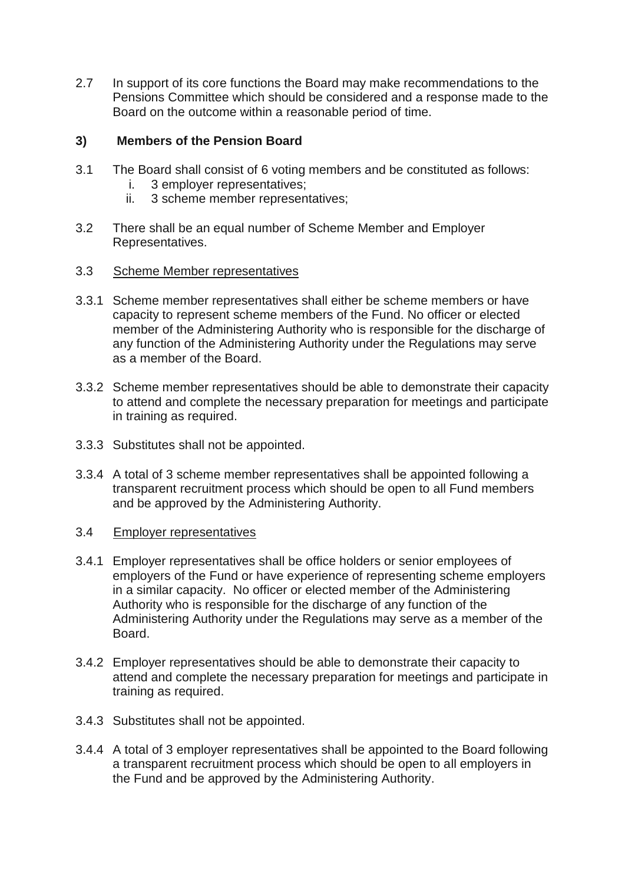2.7 In support of its core functions the Board may make recommendations to the Pensions Committee which should be considered and a response made to the Board on the outcome within a reasonable period of time.

### **3) Members of the Pension Board**

- 3.1 The Board shall consist of 6 voting members and be constituted as follows:
	- i. 3 employer representatives;
	- ii. 3 scheme member representatives;
- 3.2 There shall be an equal number of Scheme Member and Employer Representatives.
- 3.3 Scheme Member representatives
- 3.3.1 Scheme member representatives shall either be scheme members or have capacity to represent scheme members of the Fund. No officer or elected member of the Administering Authority who is responsible for the discharge of any function of the Administering Authority under the Regulations may serve as a member of the Board.
- 3.3.2 Scheme member representatives should be able to demonstrate their capacity to attend and complete the necessary preparation for meetings and participate in training as required.
- 3.3.3 Substitutes shall not be appointed.
- 3.3.4 A total of 3 scheme member representatives shall be appointed following a transparent recruitment process which should be open to all Fund members and be approved by the Administering Authority.
- 3.4 Employer representatives
- 3.4.1 Employer representatives shall be office holders or senior employees of employers of the Fund or have experience of representing scheme employers in a similar capacity. No officer or elected member of the Administering Authority who is responsible for the discharge of any function of the Administering Authority under the Regulations may serve as a member of the Board.
- 3.4.2 Employer representatives should be able to demonstrate their capacity to attend and complete the necessary preparation for meetings and participate in training as required.
- 3.4.3 Substitutes shall not be appointed.
- 3.4.4 A total of 3 employer representatives shall be appointed to the Board following a transparent recruitment process which should be open to all employers in the Fund and be approved by the Administering Authority.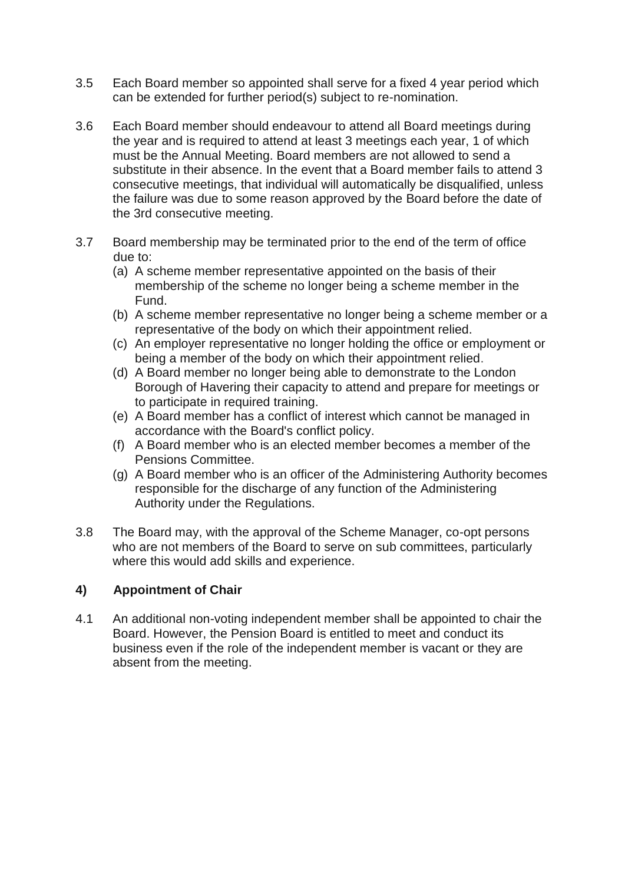- 3.5 Each Board member so appointed shall serve for a fixed 4 year period which can be extended for further period(s) subject to re-nomination.
- 3.6 Each Board member should endeavour to attend all Board meetings during the year and is required to attend at least 3 meetings each year, 1 of which must be the Annual Meeting. Board members are not allowed to send a substitute in their absence. In the event that a Board member fails to attend 3 consecutive meetings, that individual will automatically be disqualified, unless the failure was due to some reason approved by the Board before the date of the 3rd consecutive meeting.
- 3.7 Board membership may be terminated prior to the end of the term of office due to:
	- (a) A scheme member representative appointed on the basis of their membership of the scheme no longer being a scheme member in the Fund.
	- (b) A scheme member representative no longer being a scheme member or a representative of the body on which their appointment relied.
	- (c) An employer representative no longer holding the office or employment or being a member of the body on which their appointment relied.
	- (d) A Board member no longer being able to demonstrate to the London Borough of Havering their capacity to attend and prepare for meetings or to participate in required training.
	- (e) A Board member has a conflict of interest which cannot be managed in accordance with the Board's conflict policy.
	- (f) A Board member who is an elected member becomes a member of the Pensions Committee.
	- (g) A Board member who is an officer of the Administering Authority becomes responsible for the discharge of any function of the Administering Authority under the Regulations.
- 3.8 The Board may, with the approval of the Scheme Manager, co-opt persons who are not members of the Board to serve on sub committees, particularly where this would add skills and experience.

### **4) Appointment of Chair**

4.1 An additional non-voting independent member shall be appointed to chair the Board. However, the Pension Board is entitled to meet and conduct its business even if the role of the independent member is vacant or they are absent from the meeting.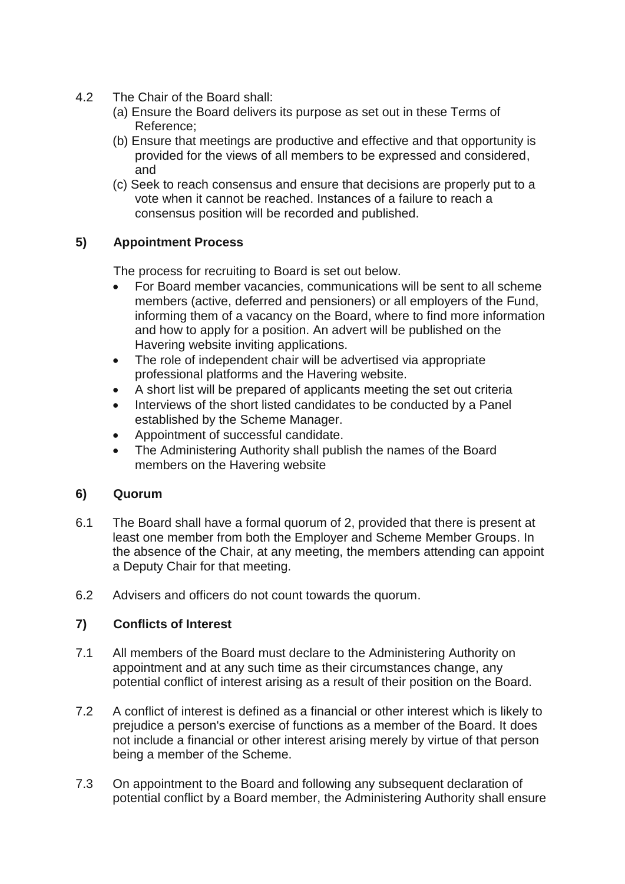- 4.2 The Chair of the Board shall:
	- (a) Ensure the Board delivers its purpose as set out in these Terms of Reference;
	- (b) Ensure that meetings are productive and effective and that opportunity is provided for the views of all members to be expressed and considered, and
	- (c) Seek to reach consensus and ensure that decisions are properly put to a vote when it cannot be reached. Instances of a failure to reach a consensus position will be recorded and published.

# **5) Appointment Process**

The process for recruiting to Board is set out below.

- For Board member vacancies, communications will be sent to all scheme members (active, deferred and pensioners) or all employers of the Fund, informing them of a vacancy on the Board, where to find more information and how to apply for a position. An advert will be published on the Havering website inviting applications.
- The role of independent chair will be advertised via appropriate professional platforms and the Havering website.
- A short list will be prepared of applicants meeting the set out criteria
- Interviews of the short listed candidates to be conducted by a Panel established by the Scheme Manager.
- Appointment of successful candidate.
- The Administering Authority shall publish the names of the Board members on the Havering website

### **6) Quorum**

- 6.1 The Board shall have a formal quorum of 2, provided that there is present at least one member from both the Employer and Scheme Member Groups. In the absence of the Chair, at any meeting, the members attending can appoint a Deputy Chair for that meeting.
- 6.2 Advisers and officers do not count towards the quorum.

# **7) Conflicts of Interest**

- 7.1 All members of the Board must declare to the Administering Authority on appointment and at any such time as their circumstances change, any potential conflict of interest arising as a result of their position on the Board.
- 7.2 A conflict of interest is defined as a financial or other interest which is likely to prejudice a person's exercise of functions as a member of the Board. It does not include a financial or other interest arising merely by virtue of that person being a member of the Scheme.
- 7.3 On appointment to the Board and following any subsequent declaration of potential conflict by a Board member, the Administering Authority shall ensure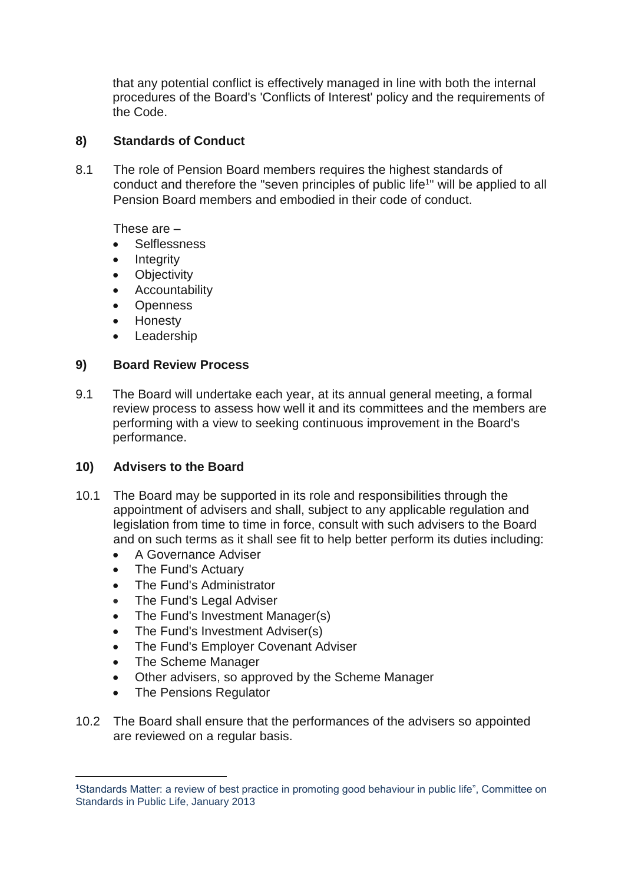that any potential conflict is effectively managed in line with both the internal procedures of the Board's 'Conflicts of Interest' policy and the requirements of the Code.

### **8) Standards of Conduct**

8.1 The role of Pension Board members requires the highest standards of conduct and therefore the "seven principles of public life<sup>1</sup>" will be applied to all Pension Board members and embodied in their code of conduct.

These are –

- Selflessness
- Integrity
- Objectivity
- Accountability
- Openness
- Honesty
- Leadership

### **9) Board Review Process**

9.1 The Board will undertake each year, at its annual general meeting, a formal review process to assess how well it and its committees and the members are performing with a view to seeking continuous improvement in the Board's performance.

### **10) Advisers to the Board**

- 10.1 The Board may be supported in its role and responsibilities through the appointment of advisers and shall, subject to any applicable regulation and legislation from time to time in force, consult with such advisers to the Board and on such terms as it shall see fit to help better perform its duties including:
	- A Governance Adviser
	- The Fund's Actuary
	- The Fund's Administrator
	- The Fund's Legal Adviser
	- The Fund's Investment Manager(s)
	- The Fund's Investment Adviser(s)
	- The Fund's Employer Covenant Adviser
	- The Scheme Manager

**.** 

- Other advisers, so approved by the Scheme Manager
- The Pensions Regulator
- 10.2 The Board shall ensure that the performances of the advisers so appointed are reviewed on a regular basis.

**<sup>1</sup>**Standards Matter: a review of best practice in promoting good behaviour in public life", Committee on Standards in Public Life, January 2013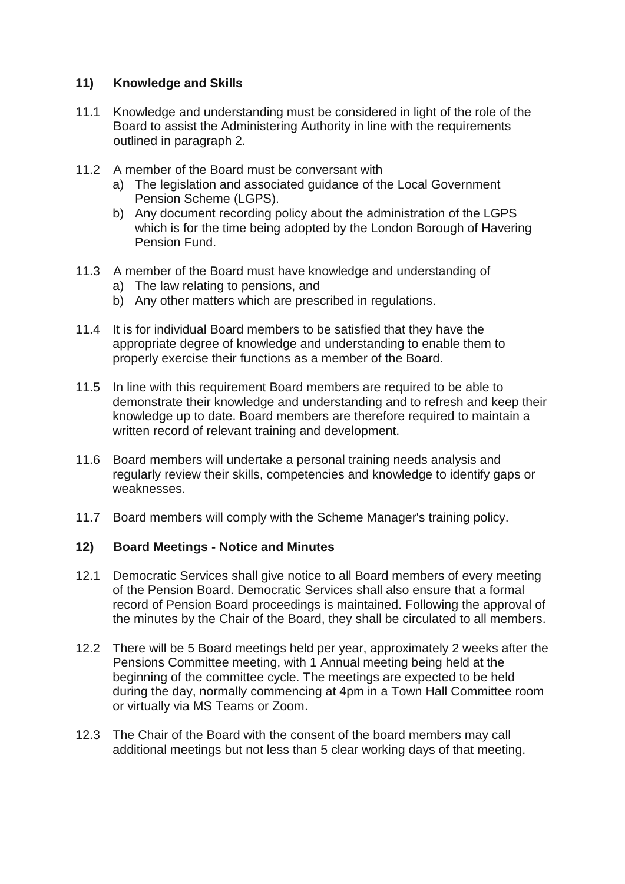# **11) Knowledge and Skills**

- 11.1 Knowledge and understanding must be considered in light of the role of the Board to assist the Administering Authority in line with the requirements outlined in paragraph 2.
- 11.2 A member of the Board must be conversant with
	- a) The legislation and associated guidance of the Local Government Pension Scheme (LGPS).
	- b) Any document recording policy about the administration of the LGPS which is for the time being adopted by the London Borough of Havering Pension Fund.
- 11.3 A member of the Board must have knowledge and understanding of
	- a) The law relating to pensions, and
	- b) Any other matters which are prescribed in regulations.
- 11.4 It is for individual Board members to be satisfied that they have the appropriate degree of knowledge and understanding to enable them to properly exercise their functions as a member of the Board.
- 11.5 In line with this requirement Board members are required to be able to demonstrate their knowledge and understanding and to refresh and keep their knowledge up to date. Board members are therefore required to maintain a written record of relevant training and development.
- 11.6 Board members will undertake a personal training needs analysis and regularly review their skills, competencies and knowledge to identify gaps or weaknesses.
- 11.7 Board members will comply with the Scheme Manager's training policy.

### **12) Board Meetings - Notice and Minutes**

- 12.1 Democratic Services shall give notice to all Board members of every meeting of the Pension Board. Democratic Services shall also ensure that a formal record of Pension Board proceedings is maintained. Following the approval of the minutes by the Chair of the Board, they shall be circulated to all members.
- 12.2 There will be 5 Board meetings held per year, approximately 2 weeks after the Pensions Committee meeting, with 1 Annual meeting being held at the beginning of the committee cycle. The meetings are expected to be held during the day, normally commencing at 4pm in a Town Hall Committee room or virtually via MS Teams or Zoom.
- 12.3 The Chair of the Board with the consent of the board members may call additional meetings but not less than 5 clear working days of that meeting.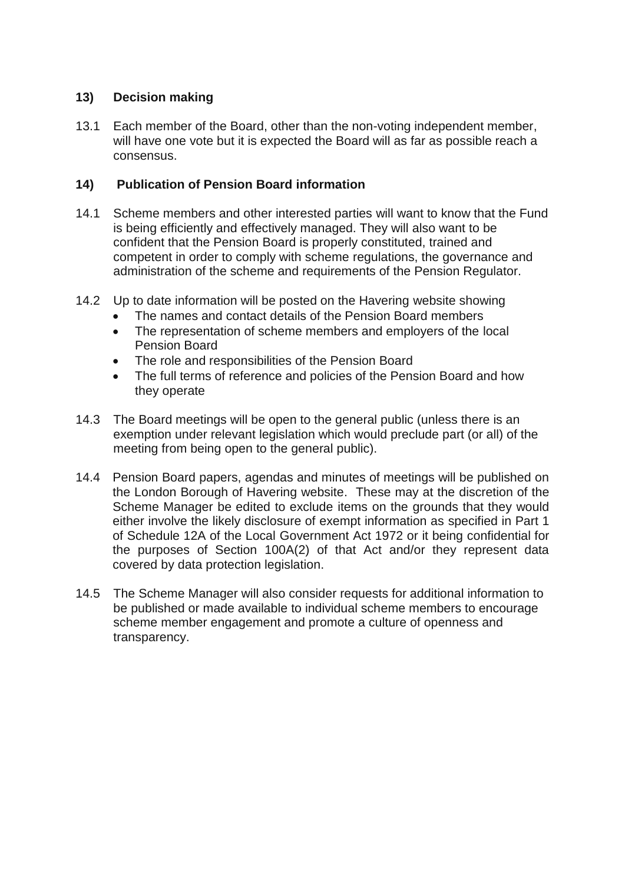## **13) Decision making**

13.1 Each member of the Board, other than the non-voting independent member, will have one vote but it is expected the Board will as far as possible reach a consensus.

### **14) Publication of Pension Board information**

- 14.1 Scheme members and other interested parties will want to know that the Fund is being efficiently and effectively managed. They will also want to be confident that the Pension Board is properly constituted, trained and competent in order to comply with scheme regulations, the governance and administration of the scheme and requirements of the Pension Regulator.
- 14.2 Up to date information will be posted on the Havering website showing
	- The names and contact details of the Pension Board members
	- The representation of scheme members and employers of the local Pension Board
	- The role and responsibilities of the Pension Board
	- The full terms of reference and policies of the Pension Board and how they operate
- 14.3 The Board meetings will be open to the general public (unless there is an exemption under relevant legislation which would preclude part (or all) of the meeting from being open to the general public).
- 14.4 Pension Board papers, agendas and minutes of meetings will be published on the London Borough of Havering website. These may at the discretion of the Scheme Manager be edited to exclude items on the grounds that they would either involve the likely disclosure of exempt information as specified in Part 1 of Schedule 12A of the Local Government Act 1972 or it being confidential for the purposes of Section 100A(2) of that Act and/or they represent data covered by data protection legislation.
- 14.5 The Scheme Manager will also consider requests for additional information to be published or made available to individual scheme members to encourage scheme member engagement and promote a culture of openness and transparency.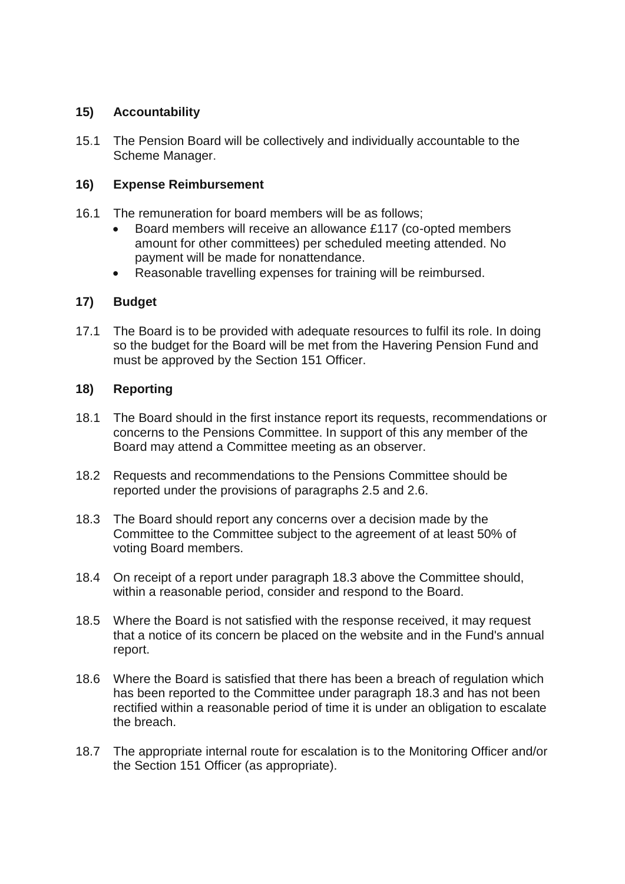### **15) Accountability**

15.1 The Pension Board will be collectively and individually accountable to the Scheme Manager.

### **16) Expense Reimbursement**

- 16.1 The remuneration for board members will be as follows;
	- Board members will receive an allowance £117 (co-opted members amount for other committees) per scheduled meeting attended. No payment will be made for nonattendance.
	- Reasonable travelling expenses for training will be reimbursed.

#### **17) Budget**

17.1 The Board is to be provided with adequate resources to fulfil its role. In doing so the budget for the Board will be met from the Havering Pension Fund and must be approved by the Section 151 Officer.

#### **18) Reporting**

- 18.1 The Board should in the first instance report its requests, recommendations or concerns to the Pensions Committee. In support of this any member of the Board may attend a Committee meeting as an observer.
- 18.2 Requests and recommendations to the Pensions Committee should be reported under the provisions of paragraphs 2.5 and 2.6.
- 18.3 The Board should report any concerns over a decision made by the Committee to the Committee subject to the agreement of at least 50% of voting Board members.
- 18.4 On receipt of a report under paragraph 18.3 above the Committee should, within a reasonable period, consider and respond to the Board.
- 18.5 Where the Board is not satisfied with the response received, it may request that a notice of its concern be placed on the website and in the Fund's annual report.
- 18.6 Where the Board is satisfied that there has been a breach of regulation which has been reported to the Committee under paragraph 18.3 and has not been rectified within a reasonable period of time it is under an obligation to escalate the breach.
- 18.7 The appropriate internal route for escalation is to the Monitoring Officer and/or the Section 151 Officer (as appropriate).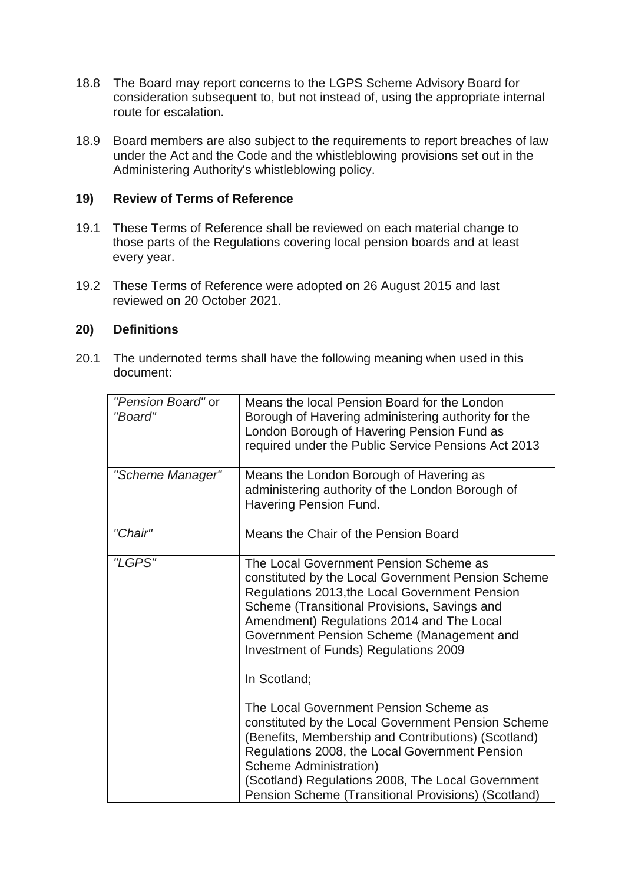- 18.8 The Board may report concerns to the LGPS Scheme Advisory Board for consideration subsequent to, but not instead of, using the appropriate internal route for escalation.
- 18.9 Board members are also subject to the requirements to report breaches of law under the Act and the Code and the whistleblowing provisions set out in the Administering Authority's whistleblowing policy.

#### **19) Review of Terms of Reference**

- 19.1 These Terms of Reference shall be reviewed on each material change to those parts of the Regulations covering local pension boards and at least every year.
- 19.2 These Terms of Reference were adopted on 26 August 2015 and last reviewed on 20 October 2021.

#### **20) Definitions**

20.1 The undernoted terms shall have the following meaning when used in this document:

| "Pension Board" or<br>"Board" | Means the local Pension Board for the London<br>Borough of Havering administering authority for the<br>London Borough of Havering Pension Fund as<br>required under the Public Service Pensions Act 2013                                                                                                                                           |
|-------------------------------|----------------------------------------------------------------------------------------------------------------------------------------------------------------------------------------------------------------------------------------------------------------------------------------------------------------------------------------------------|
| "Scheme Manager"              | Means the London Borough of Havering as<br>administering authority of the London Borough of<br>Havering Pension Fund.                                                                                                                                                                                                                              |
| "Chair"                       | Means the Chair of the Pension Board                                                                                                                                                                                                                                                                                                               |
| "LGPS"                        | The Local Government Pension Scheme as<br>constituted by the Local Government Pension Scheme<br>Regulations 2013, the Local Government Pension<br>Scheme (Transitional Provisions, Savings and<br>Amendment) Regulations 2014 and The Local<br>Government Pension Scheme (Management and<br>Investment of Funds) Regulations 2009<br>In Scotland;  |
|                               | The Local Government Pension Scheme as<br>constituted by the Local Government Pension Scheme<br>(Benefits, Membership and Contributions) (Scotland)<br>Regulations 2008, the Local Government Pension<br><b>Scheme Administration)</b><br>(Scotland) Regulations 2008, The Local Government<br>Pension Scheme (Transitional Provisions) (Scotland) |